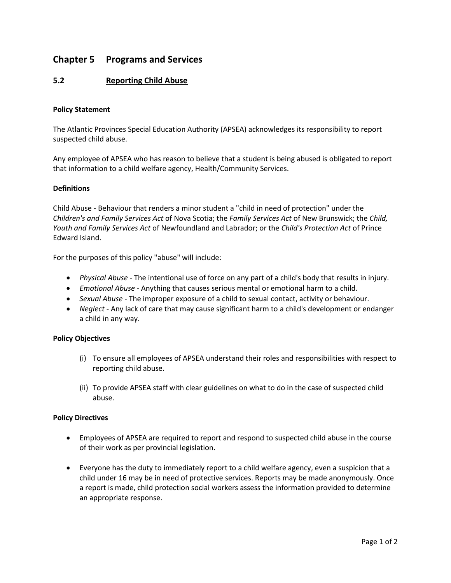# **Chapter 5 Programs and Services**

## **5.2 Reporting Child Abuse**

## **Policy Statement**

The Atlantic Provinces Special Education Authority (APSEA) acknowledges its responsibility to report suspected child abuse.

Any employee of APSEA who has reason to believe that a student is being abused is obligated to report that information to a child welfare agency, Health/Community Services.

## **Definitions**

Child Abuse - Behaviour that renders a minor student a "child in need of protection" under the *Children's and Family Services Act* of Nova Scotia; the *Family Services Act* of New Brunswick; the *Child, Youth and Family Services Act* of Newfoundland and Labrador; or the *Child's Protection Act* of Prince Edward Island.

For the purposes of this policy "abuse" will include:

- *Physical Abuse -* The intentional use of force on any part of a child's body that results in injury.
- *Emotional Abuse -* Anything that causes serious mental or emotional harm to a child.
- *Sexual Abuse -* The improper exposure of a child to sexual contact, activity or behaviour.
- *Neglect -* Any lack of care that may cause significant harm to a child's development or endanger a child in any way.

## **Policy Objectives**

- (i) To ensure all employees of APSEA understand their roles and responsibilities with respect to reporting child abuse.
- (ii) To provide APSEA staff with clear guidelines on what to do in the case of suspected child abuse.

## **Policy Directives**

- Employees of APSEA are required to report and respond to suspected child abuse in the course of their work as per provincial legislation.
- Everyone has the duty to immediately report to a child welfare agency, even a suspicion that a child under 16 may be in need of protective services. Reports may be made anonymously. Once a report is made, child protection social workers assess the information provided to determine an appropriate response.